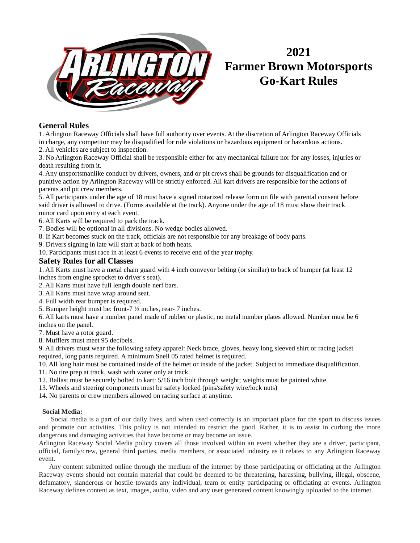

# **2021 Farmer Brown Motorsports Go-Kart Rules**

# **General Rules**

1. Arlington Raceway Officials shall have full authority over events. At the discretion of Arlington Raceway Officials in charge, any competitor may be disqualified for rule violations or hazardous equipment or hazardous actions.

2. All vehicles are subject to inspection.

3. No Arlington Raceway Official shall be responsible either for any mechanical failure nor for any losses, injuries or death resulting from it.

4. Any unsportsmanlike conduct by drivers, owners, and or pit crews shall be grounds for disqualification and or punitive action by Arlington Raceway will be strictly enforced. All kart drivers are responsible for the actions of parents and pit crew members.

5. All participants under the age of 18 must have a signed notarized release form on file with parental consent before said driver is allowed to drive. (Forms available at the track). Anyone under the age of 18 must show their track minor card upon entry at each event.

6. All Karts will be required to pack the track.

7. Bodies will be optional in all divisions. No wedge bodies allowed.

- 8. If Kart becomes stuck on the track, officials are not responsible for any breakage of body parts.
- 9. Drivers signing in late will start at back of both heats.

10. Participants must race in at least 6 events to receive end of the year trophy.

# **Safety Rules for all Classes**

1. All Karts must have a metal chain guard with 4 inch conveyor belting (or similar) to back of bumper (at least 12 inches from engine sprocket to driver's seat).

2. All Karts must have full length double nerf bars.

- 3. All Karts must have wrap around seat.
- 4. Full width rear bumper is required.
- 5. Bumper height must be: front-7 ½ inches, rear- 7 inches.

6. All karts must have a number panel made of rubber or plastic, no metal number plates allowed. Number must be 6 inches on the panel.

7. Must have a rotor guard.

8. Mufflers must meet 95 decibels.

9. All drivers must wear the following safety apparel: Neck brace, gloves, heavy long sleeved shirt or racing jacket required, long pants required. A minimum Snell 05 rated helmet is required.

10. All long hair must be contained inside of the helmet or inside of the jacket. Subject to immediate disqualification.

- 11. No tire prep at track, wash with water only at track.
- 12. Ballast must be securely bolted to kart: 5/16 inch bolt through weight; weights must be painted white.
- 13. Wheels and steering components must be safety locked (pins/safety wire/lock nuts)

14. No parents or crew members allowed on racing surface at anytime.

# **Social Media:**

 Social media is a part of our daily lives, and when used correctly is an important place for the sport to discuss issues and promote our activities. This policy is not intended to restrict the good. Rather, it is to assist in curbing the more dangerous and damaging activities that have become or may become an issue.

Arlington Raceway Social Media policy covers all those involved within an event whether they are a driver, participant, official, family/crew, general third parties, media members, or associated industry as it relates to any Arlington Raceway event.

 Any content submitted online through the medium of the internet by those participating or officiating at the Arlington Raceway events should not contain material that could be deemed to be threatening, harassing, bullying, illegal, obscene, defamatory, slanderous or hostile towards any individual, team or entity participating or officiating at events. Arlington Raceway defines content as text, images, audio, video and any user generated content knowingly uploaded to the internet.